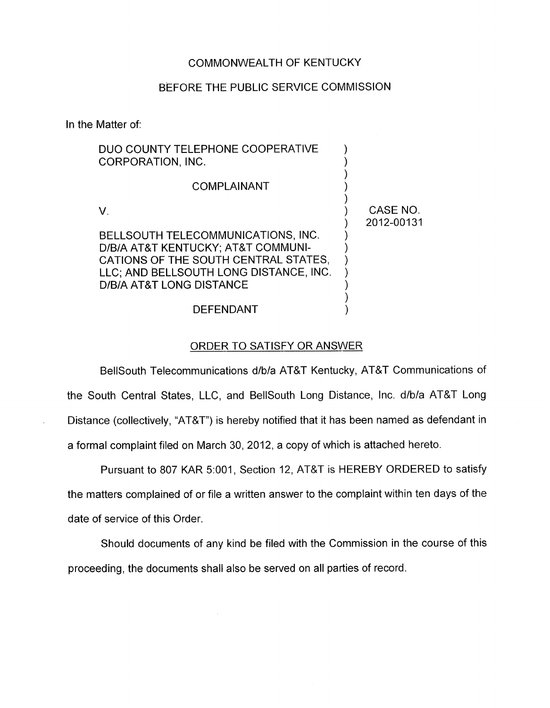# COMMONWEALTH OF KENTUCKY

# BEFORE THE PUBLIC SERVICE COMMISSION

In the Matter of:

| DUO COUNTY TELEPHONE COOPERATIVE<br>CORPORATION, INC.                                                                                                                                  |                        |
|----------------------------------------------------------------------------------------------------------------------------------------------------------------------------------------|------------------------|
| <b>COMPLAINANT</b>                                                                                                                                                                     |                        |
|                                                                                                                                                                                        | CASE NO.<br>2012-00131 |
| BELLSOUTH TELECOMMUNICATIONS, INC.<br>D/B/A AT&T KENTUCKY; AT&T COMMUNI-<br>CATIONS OF THE SOUTH CENTRAL STATES,<br>LLC; AND BELLSOUTH LONG DISTANCE, INC.<br>D/B/A AT&T LONG DISTANCE |                        |
| DEFENDANT                                                                                                                                                                              |                        |

### ORDER TO SATISFY OR ANSWER

BellSouth Telecommunications d/b/a AT&T Kentucky, AT&T Communications of the South Central States, LLC, and BellSouth Long Distance, Inc. d/b/a AT&T Long Distance (collectively, "AT&T") is hereby notified that it has been named as defendant in a formal complaint filed on March 30, 2012, a copy of which is attached hereto.

Pursuant to 807 KAR 5:001, Section 12, AT&T is HEREBY ORDERED to satisfy the matters complained of or file a written answer to the complaint within ten days of the date of service of this Order.

Should documents of any kind be filed with the Commission in the course of this proceeding, the documents shall also be served on all parties of record.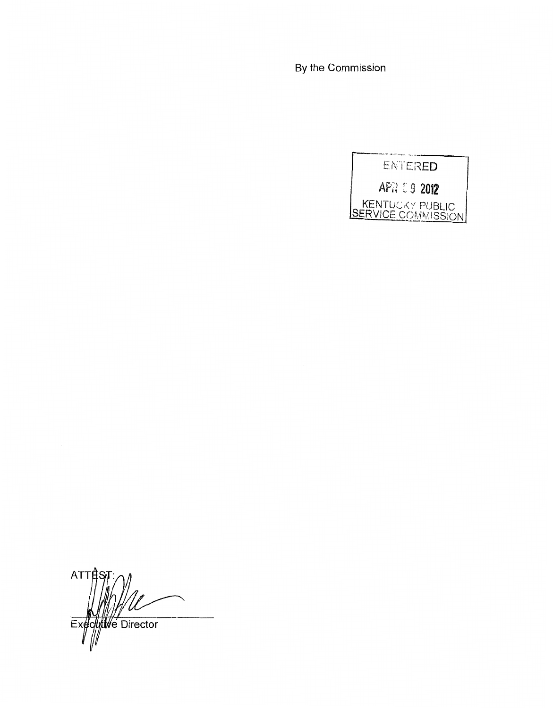By the Commission



 $ATTf$ Executive Director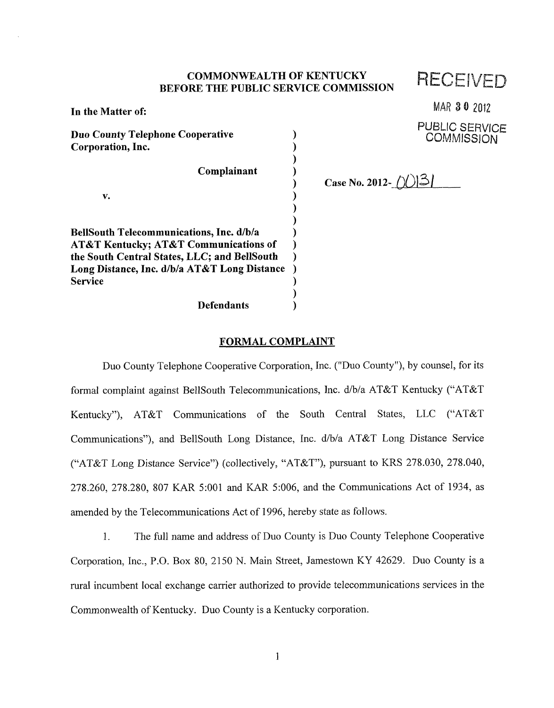# COMMONWEALTH OF KENTUCKY **RECEIVEL**<br>BEFORE THE PUBLIC SERVICE COMMISSION

| In the Matter of:                               |  |
|-------------------------------------------------|--|
| <b>Duo County Telephone Cooperative</b>         |  |
| Corporation, Inc.                               |  |
|                                                 |  |
| Complainant                                     |  |
|                                                 |  |
| v.                                              |  |
|                                                 |  |
|                                                 |  |
| <b>BellSouth Telecommunications, Inc. d/b/a</b> |  |
| AT&T Kentucky; AT&T Communications of           |  |
| the South Central States, LLC; and BellSouth    |  |
| Long Distance, Inc. d/b/a AT&T Long Distance    |  |
| Service                                         |  |
|                                                 |  |
| <b>Defendants</b>                               |  |

MAR **6310 2812** 

PUBLIC SERVICE **COMMISSION** 

Case No. 2012- $\lfloor \frac{\binom{n}{2}}{3} \rfloor$ 

### **FORMAL COMPLAINT**

Duo County Telephone Cooperative Corporation, Inc. ("Duo County"), by counsel, for its formal complaint against BellSouth Telecommunications, Inc. d/b/a AT&T Kentucky ("AT&T Kentucky"), AT&T Communications of the South Central States, LLC ("AT&T Communications"), and BellSouth Long Distance, Inc. d/b/a AT&T Long Distance Service ("AT&T Long Distance Service") (collectively, "AT&T"), pursuant to KRS 278.030, 278.040, 278.260, 278.280, 807 KAR 5:OOl and KAR 5:006, and the Communications Act of 1934, as amended by the Telecommunications Act of 1996, hereby state as follows.

1. The full name and address of Duo County is Duo County Telephone Cooperative Corporation, Inc., P.O. Box SO, 2150 N. Main Street, Jamestown KY 42629. Duo County is a rural incumbent local exchange carrier authorized to provide telecommunications services in the Commonwealth of Kentucky. Duo County is a Kentucky corporation.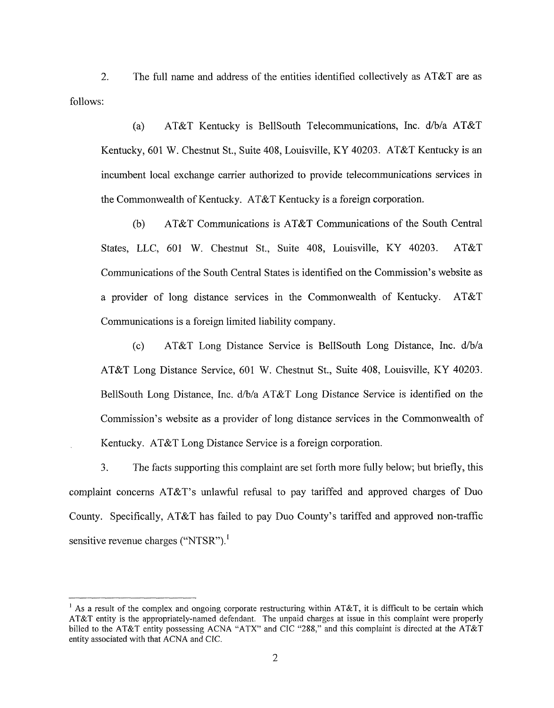2. The full name and address of the entities identified collectively as AT&T are as follows:

(a) AT&T Kentucky is BellSouth Telecommunications, Inc. d/b/a AT&T Kentucky, 601 W. Chestnut St., Suite 408, Louisville, KY 40203. AT&T Kentucky is an incumbent local exchange carrier authorized to provide telecommunications services in the Commonwealth of Kentucky. AT&T Kentucky is a foreign corporation.

(b) AT&T Communications is AT&T Communications of the South Central States, LLC, 601 W. Chestnut St., Suite 408, Louisville, KY 40203. AT&T Communications of the South Central States is identified on the Commission's website as a provider of long distance services in the Commonwealth of Kentucky. AT&T Communications is a foreign limited liability company.

(c) AT&T Long Distance Service is BellSouth Long Distance, Inc. d/b/a AT&T Long Distance Service, 601 W. Chestnut St., Suite 408, Louisville, KY 40203. BellSouth Long Distance, Inc. d/b/a AT&T Long Distance Service is identified on the Commission's website as a provider of long distance services in the Commonwealth of Kentucky. AT&T Long Distance Service is a foreign corporation.

3. The facts supporting this complaint are set forth more fully below; but briefly, this complaint concerns AT&T's unlawfid refusal to pay tariffed and approved charges of Duo County. Specifically, AT&T has failed to pay Duo County's tariffed and approved non-traffic sensitive revenue charges ("NTSR").<sup>1</sup>

<sup>&</sup>lt;sup>1</sup> As a result of the complex and ongoing corporate restructuring within AT&T, it is difficult to be certain which AT&T entity is the appropriately-named defendant. The unpaid charges at issue in this complaint were properly billed to the AT&T entity possessing ACNA "ATX" and CIC "288," and this complaint is directed at the AT&T entity associated with that ACNA and CIC.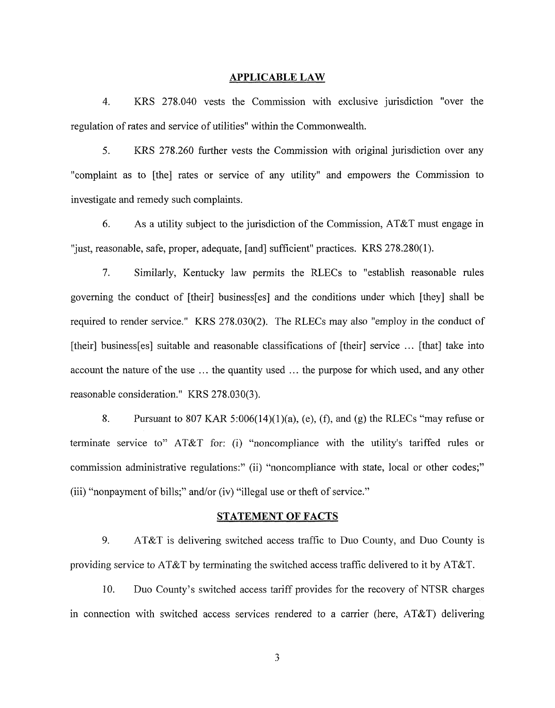#### **APPLICABLE LAW**

4. KRS 278.040 vests the Commission with exclusive jurisdiction "over the regulation of rates and service of utilities" within the Commonwealth.

*5.* KRS 278.260 further vests the Commission with original jurisdiction over any "complaint as to [the] rates or service of any utility" and empowers the Commission to investigate and remedy such complaints.

*6.* As a utility subject to the jurisdiction of the Commission, AT&T must engage in "just, reasonable, safe, proper, adequate, [and] sufficient" practices. KRS 278.280(1).

7. Similarly, Kentucky law permits the RLECs to "establish reasonable rules governing the conduct of [their] business[es] and the conditions under which [they] shall be required to render service." KRS 278.030(2). The RLECs may also "employ in the conduct of [their] business[es] suitable and reasonable classifications of [their] service . . . [that] take into account the nature of the use ... the quantity used ... the purpose for which used, and any other reasonable consideration." KRS 278.030(3).

8. Pursuant to 807 KAR 5:006(14)(1)(a), (e), *(0,* and (8) the RLECs "may refuse or terminate service to" AT&T for: (i) "noncompliance with the utility's tariffed rules or commission administrative regulations:" (ii) "noncompliance with state, local or other codes;" (iii) "nonpayment of bills;" and/or (iv) "illegal use or theft of service."

### **STATEMENT OF FACTS**

9. AT&T is delivering switched access traffic to Duo County, and Duo County is providing service to AT&T by terminating the switched access traffic delivered to it by AT&T.

10. Duo County's switched access tariff provides for the recovery of NTSR charges in connection with switched access services rendered to a carrier (here, AT&T) delivering

*3*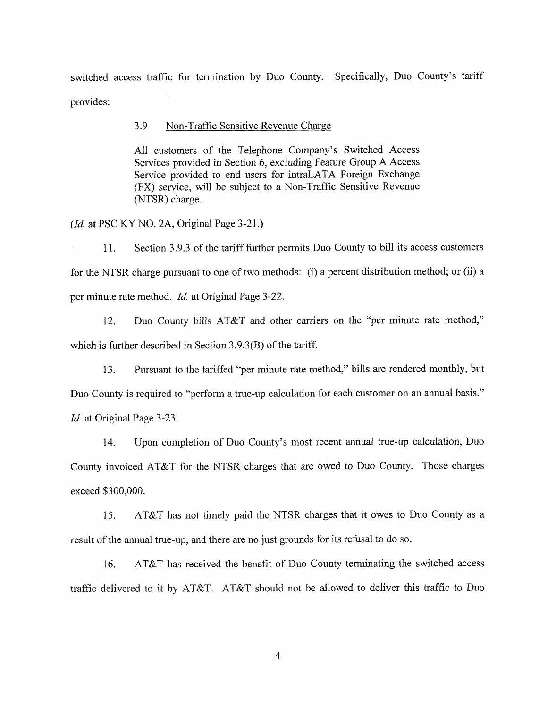switched access traffic for termination by Duo County. Specifically, Duo County's tariff provides:

3.9 Non-Traffic Sensitive Revenue Charge

All customers of the Telephone Company's Switched Access Services provided in Section 6, excluding Feature Croup **A** Access Service provided to end users for intraLATA Foreign Exchange (FX) service, will be subject to a Non-Traffic Sensitive Revenue (NTSR) charge.

*(Id* at PSC KY NO. 2A, Original Page 3-21.)

11. Section 3.9.3 of the tariff further permits Duo County to bill its access customers for the NTSR charge pursuant to one of two methods: (i) a percent distribution method; or (ii) a per minute rate method. *Id.* at Original Page 3-22.

12. Duo County bills AT&T and other carriers on the "per minute rate method," which is further described in Section 3.9.3(B) of the tariff.

13. Pursuant to the tariffed "per minute rate method," bills are rendered monthly, but Duo County is required to "perform a true-up calculation for each customer on an annual basis.'' *Id.* at Original Page 3-23.

14. Upon completion of Duo County's most recent annual true-up calculation, Duo County invoiced AT&T for the NTSR charges that are owed to Duo County. Those charges exceed \$300,000.

**IS.** AT&T has not timely paid the NTSR charges that it owes to Duo County as a result of the annual true-up, and there are no just grounds for its refusal to do so.

16. AT&T has received the benefit of Duo County terminating the switched access traffic delivered to it by AT&T. AT&T should not be allowed to deliver this traffic to Duo

4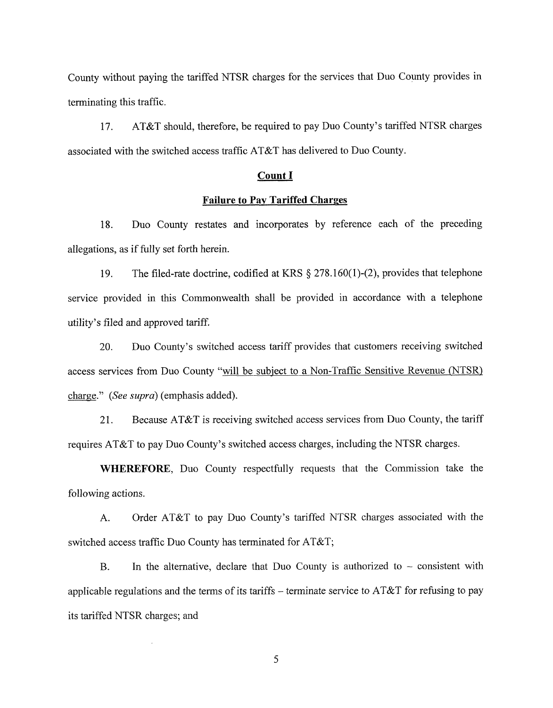County without paying the tariffed NTSR charges for the services that Duo County provides in terminating this traffic.

17. AT&T should, therefore, be required to pay Duo County's tariffed NTSR charges associated with the switched access traffic AT&T has delivered to Duo County.

## **Count I**

### **Failure to Pay Tariffed Charges**

18. Duo County restates and incorporates by reference each of the preceding allegations, as if fully set forth herein.

19. The filed-rate doctrine, codified at KRS **9** 278.160( 1)-(2), provides that telephone service provided in this Commonwealth shall be provided in accordance with a telephone utility's filed and approved tariff.

20. Duo County's switched access tariff provides that customers receiving switched access services from Duo County "will be subject to a Non-Traffic Sensitive Revenue (NTSR) charge." (See *supra)* (emphasis added).

21. Because AT&T is receiving switched access services from Duo County, the tariff requires AT&T to pay Duo County's switched access charges, including the NTSR charges.

**WHEREFORE,** Duo County respectfully requests that the Commission take the following actions.

A. Order AT&T to pay Duo County's tariffed NTSR charges associated with the switched access traffic Duo County has terminated for AT&T;

B. In the alternative, declare that Duo County is authorized to  $-$  consistent with applicable regulations and the terms of its tariffs – terminate service to  $AT&T$  for refusing to pay its tariffed NTSR charges; and

*5*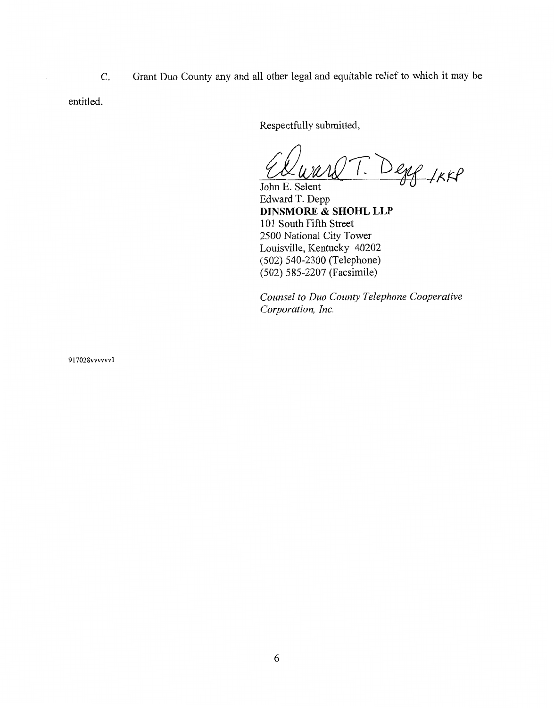C. Grant Duo County any and all other legal and equitable relief to which it may be

entitled.

Respectfully submitted,

*A*  T. Degg IKKP

John E. Selent Edward T. Depp **DINSMORE** & **SHOHL LLP**  101 South Fifth Street 2500 National City Tower Louisville, Kentucky 40202 (502) 540-2300 (Telephone) (502) 585-2207 (Facsimile)

*Counsel to Duo County Telephone Cooperative Corporation, Inc.* 

917028vvww1